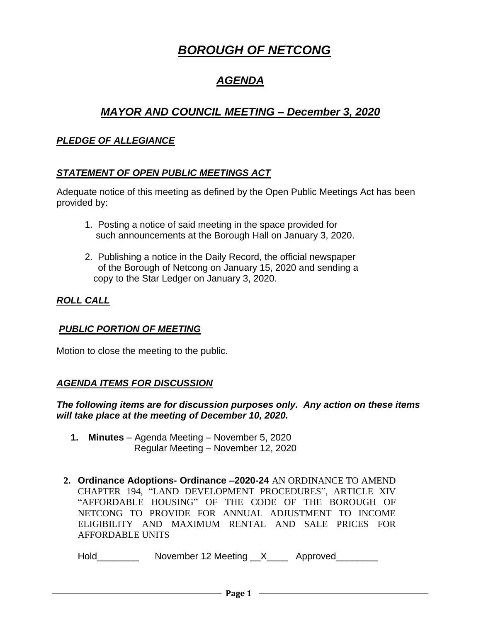# *BOROUGH OF NETCONG*

## *AGENDA*

## *MAYOR AND COUNCIL MEETING – December 3, 2020*

## *PLEDGE OF ALLEGIANCE*

## *STATEMENT OF OPEN PUBLIC MEETINGS ACT*

Adequate notice of this meeting as defined by the Open Public Meetings Act has been provided by:

- 1. Posting a notice of said meeting in the space provided for such announcements at the Borough Hall on January 3, 2020.
- 2. Publishing a notice in the Daily Record, the official newspaper of the Borough of Netcong on January 15, 2020 and sending a copy to the Star Ledger on January 3, 2020.

## *ROLL CALL*

## *PUBLIC PORTION OF MEETING*

Motion to close the meeting to the public.

#### *AGENDA ITEMS FOR DISCUSSION*

#### *The following items are for discussion purposes only. Any action on these items will take place at the meeting of December 10, 2020.*

- **1. Minutes** Agenda Meeting November 5, 2020 Regular Meeting – November 12, 2020
- **2. Ordinance Adoptions- Ordinance –2020-24** AN ORDINANCE TO AMEND CHAPTER 194, "LAND DEVELOPMENT PROCEDURES", ARTICLE XIV "AFFORDABLE HOUSING" OF THE CODE OF THE BOROUGH OF NETCONG TO PROVIDE FOR ANNUAL ADJUSTMENT TO INCOME ELIGIBILITY AND MAXIMUM RENTAL AND SALE PRICES FOR AFFORDABLE UNITS

Hold\_\_\_\_\_\_\_\_\_\_\_\_\_ November 12 Meeting \_\_X\_\_\_\_\_ Approved\_\_\_\_\_\_\_\_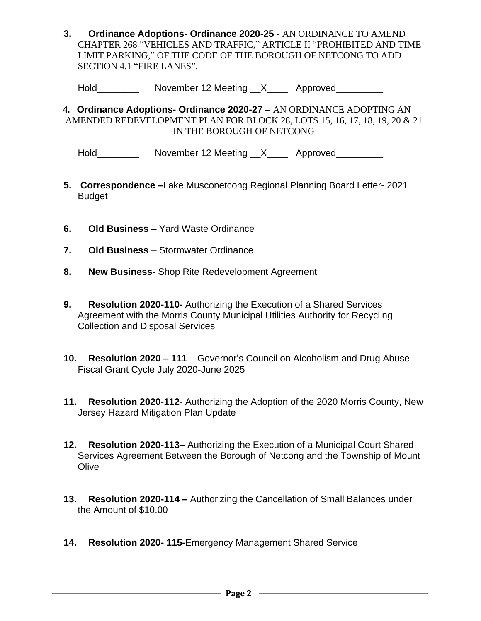**3. Ordinance Adoptions- Ordinance 2020-25 -** AN ORDINANCE TO AMEND CHAPTER 268 "VEHICLES AND TRAFFIC," ARTICLE II "PROHIBITED AND TIME LIMIT PARKING," OF THE CODE OF THE BOROUGH OF NETCONG TO ADD SECTION 4.1 "FIRE LANES".

Hold Movember 12 Meeting X Approved

**4. Ordinance Adoptions- Ordinance 2020-27** – AN ORDINANCE ADOPTING AN AMENDED REDEVELOPMENT PLAN FOR BLOCK 28, LOTS 15, 16, 17, 18, 19, 20 & 21 IN THE BOROUGH OF NETCONG

Hold\_\_\_\_\_\_\_\_\_\_\_\_ November 12 Meeting \_\_X\_\_\_\_\_ Approved\_\_\_\_\_\_\_\_\_

- **5. Correspondence –**Lake Musconetcong Regional Planning Board Letter- 2021 Budget
- **6. Old Business –** Yard Waste Ordinance
- **7. Old Business** Stormwater Ordinance
- **8. New Business-** Shop Rite Redevelopment Agreement
- **9. Resolution 2020-110-** Authorizing the Execution of a Shared Services Agreement with the Morris County Municipal Utilities Authority for Recycling Collection and Disposal Services
- **10. Resolution 2020 – 111** Governor's Council on Alcoholism and Drug Abuse Fiscal Grant Cycle July 2020-June 2025
- **11. Resolution 2020**-**112** Authorizing the Adoption of the 2020 Morris County, New Jersey Hazard Mitigation Plan Update
- **12. Resolution 2020-113–** Authorizing the Execution of a Municipal Court Shared Services Agreement Between the Borough of Netcong and the Township of Mount **Olive**
- **13. Resolution 2020-114 –** Authorizing the Cancellation of Small Balances under the Amount of \$10.00
- **14. Resolution 2020- 115-**Emergency Management Shared Service